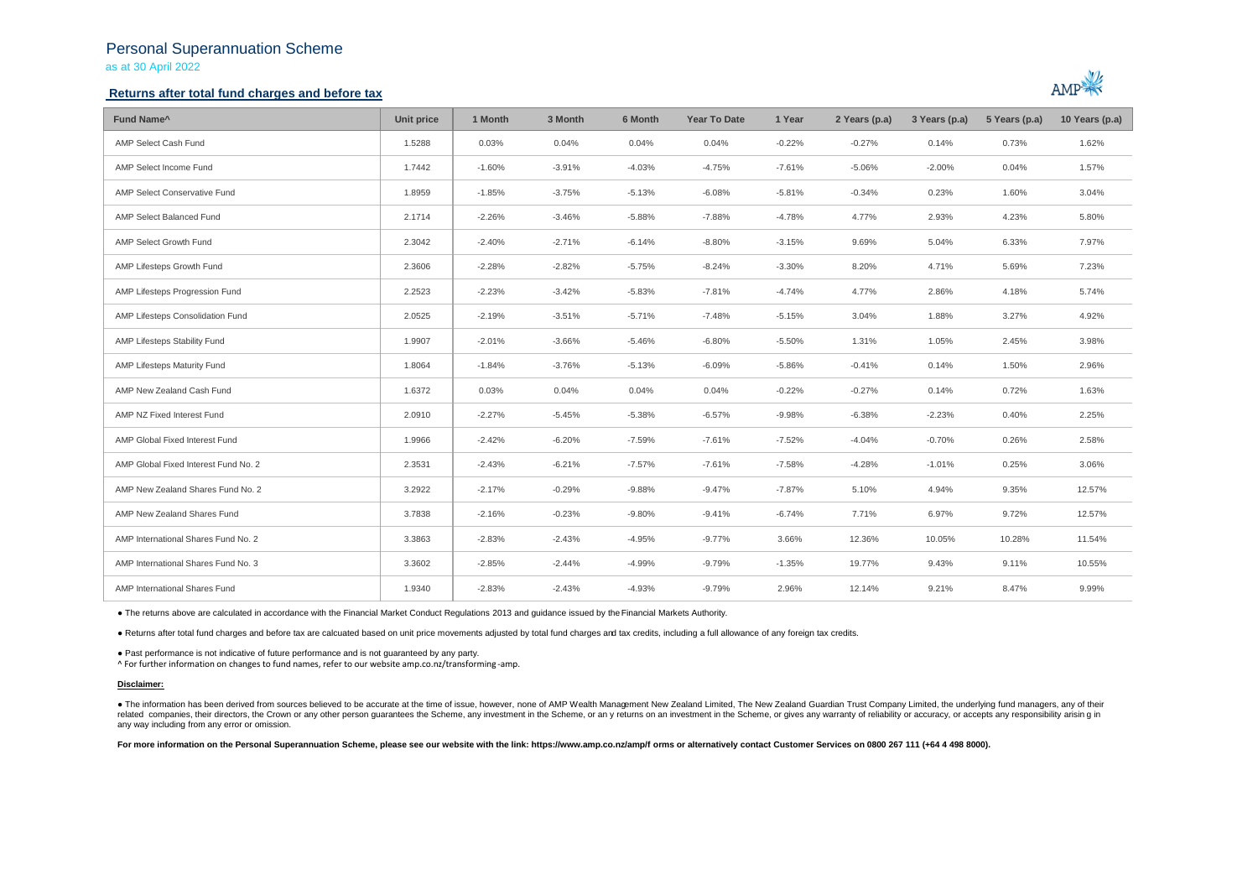## Personal Superannuation Scheme as at 30 April 2022

### **Returns after total fund charges and before tax**



| Fund Name <sup>^</sup>               | Unit price | 1 Month  | 3 Month  | 6 Month  | <b>Year To Date</b> | 1 Year   | 2 Years (p.a) | 3 Years (p.a) | 5 Years (p.a) | 10 Years (p.a) |
|--------------------------------------|------------|----------|----------|----------|---------------------|----------|---------------|---------------|---------------|----------------|
| AMP Select Cash Fund                 | 1.5288     | 0.03%    | 0.04%    | 0.04%    | 0.04%               | $-0.22%$ | $-0.27%$      | 0.14%         | 0.73%         | 1.62%          |
| AMP Select Income Fund               | 1.7442     | $-1.60%$ | $-3.91%$ | $-4.03%$ | $-4.75%$            | $-7.61%$ | $-5.06%$      | $-2.00%$      | 0.04%         | 1.57%          |
| AMP Select Conservative Fund         | 1.8959     | $-1.85%$ | $-3.75%$ | $-5.13%$ | $-6.08%$            | $-5.81%$ | $-0.34%$      | 0.23%         | 1.60%         | 3.04%          |
| AMP Select Balanced Fund             | 2.1714     | $-2.26%$ | $-3.46%$ | $-5.88%$ | $-7.88%$            | $-4.78%$ | 4.77%         | 2.93%         | 4.23%         | 5.80%          |
| AMP Select Growth Fund               | 2.3042     | $-2.40%$ | $-2.71%$ | $-6.14%$ | $-8.80%$            | $-3.15%$ | 9.69%         | 5.04%         | 6.33%         | 7.97%          |
| AMP Lifesteps Growth Fund            | 2.3606     | $-2.28%$ | $-2.82%$ | $-5.75%$ | $-8.24%$            | $-3.30%$ | 8.20%         | 4.71%         | 5.69%         | 7.23%          |
| AMP Lifesteps Progression Fund       | 2.2523     | $-2.23%$ | $-3.42%$ | $-5.83%$ | $-7.81%$            | $-4.74%$ | 4.77%         | 2.86%         | 4.18%         | 5.74%          |
| AMP Lifesteps Consolidation Fund     | 2.0525     | $-2.19%$ | $-3.51%$ | $-5.71%$ | $-7.48%$            | $-5.15%$ | 3.04%         | 1.88%         | 3.27%         | 4.92%          |
| AMP Lifesteps Stability Fund         | 1.9907     | $-2.01%$ | $-3.66%$ | $-5.46%$ | $-6.80%$            | $-5.50%$ | 1.31%         | 1.05%         | 2.45%         | 3.98%          |
| AMP Lifesteps Maturity Fund          | 1.8064     | $-1.84%$ | $-3.76%$ | $-5.13%$ | $-6.09%$            | $-5.86%$ | $-0.41%$      | 0.14%         | 1.50%         | 2.96%          |
| AMP New Zealand Cash Fund            | 1.6372     | 0.03%    | 0.04%    | 0.04%    | 0.04%               | $-0.22%$ | $-0.27%$      | 0.14%         | 0.72%         | 1.63%          |
| AMP NZ Fixed Interest Fund           | 2.0910     | $-2.27%$ | $-5.45%$ | $-5.38%$ | $-6.57%$            | $-9.98%$ | $-6.38%$      | $-2.23%$      | 0.40%         | 2.25%          |
| AMP Global Fixed Interest Fund       | 1.9966     | $-2.42%$ | $-6.20%$ | $-7.59%$ | $-7.61%$            | $-7.52%$ | $-4.04%$      | $-0.70%$      | 0.26%         | 2.58%          |
| AMP Global Fixed Interest Fund No. 2 | 2.3531     | $-2.43%$ | $-6.21%$ | $-7.57%$ | $-7.61%$            | $-7.58%$ | $-4.28%$      | $-1.01%$      | 0.25%         | 3.06%          |
| AMP New Zealand Shares Fund No. 2    | 3.2922     | $-2.17%$ | $-0.29%$ | $-9.88%$ | $-9.47%$            | $-7.87%$ | 5.10%         | 4.94%         | 9.35%         | 12.57%         |
| AMP New Zealand Shares Fund          | 3.7838     | $-2.16%$ | $-0.23%$ | $-9.80%$ | $-9.41%$            | $-6.74%$ | 7.71%         | 6.97%         | 9.72%         | 12.57%         |
| AMP International Shares Fund No. 2  | 3.3863     | $-2.83%$ | $-2.43%$ | $-4.95%$ | $-9.77%$            | 3.66%    | 12.36%        | 10.05%        | 10.28%        | 11.54%         |
| AMP International Shares Fund No. 3  | 3.3602     | $-2.85%$ | $-2.44%$ | $-4.99%$ | $-9.79%$            | $-1.35%$ | 19.77%        | 9.43%         | 9.11%         | 10.55%         |
| AMP International Shares Fund        | 1.9340     | $-2.83%$ | $-2.43%$ | $-4.93%$ | $-9.79%$            | 2.96%    | 12.14%        | 9.21%         | 8.47%         | 9.99%          |

● The returns above are calculated in accordance with the Financial Market Conduct Regulations 2013 and guidance issued by the Financial Markets Authority.

● Returns after total fund charges and before tax are calcuated based on unit price movements adjusted by total fund charges and tax credits, including a full allowance of any foreign tax credits.

● Past performance is not indicative of future performance and is not guaranteed by any party.

^ For further information on changes to fund names, refer to our website amp.co.nz/transforming -amp.

### **Disclaimer:**

. The information has been derived from sources believed to be accurate at the time of issue, however, none of AMP Wealth Management New Zealand Limited, The New Zealand Guardian Trust Company Limited, the underlying fund related companies, their directors, the Crown or any other person quarantees the Scheme, any investment in the Scheme, or any returns on an investment in the Scheme, or gives any warranty of reliability or accuracy, or acc any way including from any error or omission.

For more information on the Personal Superannuation Scheme, please see our website with the link: https://www.amp.co.nz/amp/f orms or alternatively contact Customer Services on 0800 267 111 (+64 4 498 8000).